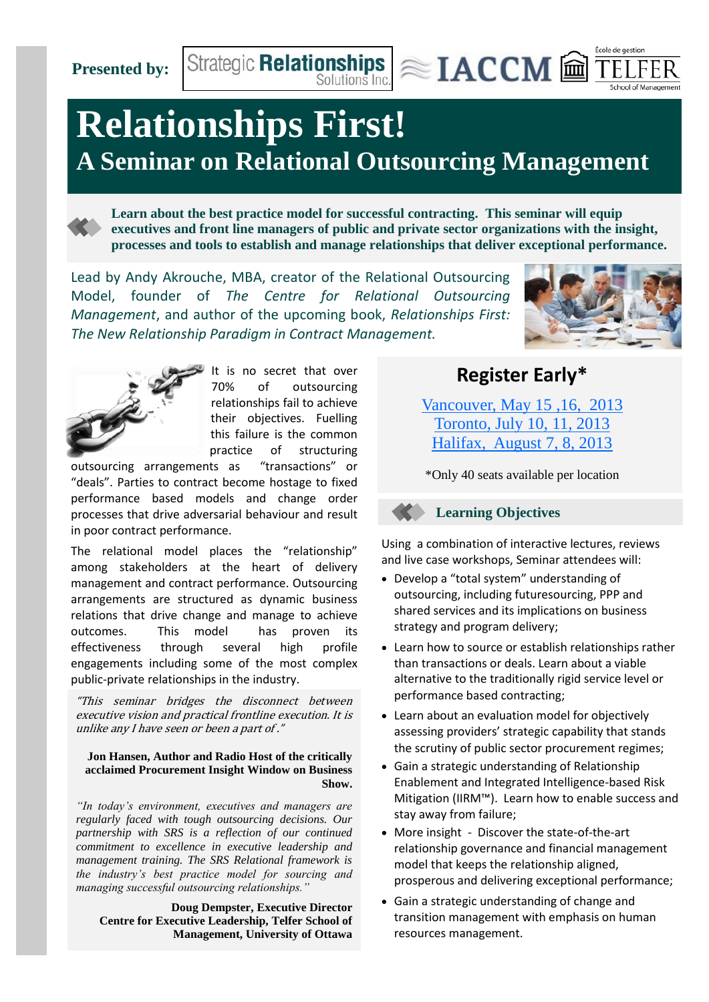**Presented by:**

## **Relationships First! A Seminar on Relational Outsourcing Management**

**Learn about the best practice model for successful contracting. This seminar will equip executives and front line managers of public and private sector organizations with the insight, processes and tools to establish and manage relationships that deliver exceptional performance.**

Strategic Relationships  $\text{R}} \approx \text{IACCM} \ \widehat{\text{m}}$ 

Lead by Andy Akrouche, MBA, creator of the Relational Outsourcing Model, founder of *The Centre for Relational Outsourcing Management*, and author of the upcoming book, *Relationships First: The New Relationship Paradigm in Contract Management.*



École de gestion



It is no secret that over 70% of outsourcing relationships fail to achieve their objectives. Fuelling this failure is the common practice of structuring

outsourcing arrangements as "transactions" or "deals". Parties to contract become hostage to fixed performance based models and change order processes that drive adversarial behaviour and result in poor contract performance.

The relational model places the "relationship" among stakeholders at the heart of delivery management and contract performance. Outsourcing arrangements are structured as dynamic business relations that drive change and manage to achieve outcomes. This model has proven its effectiveness through several high profile engagements including some of the most complex public-private relationships in the industry.

"This seminar bridges the disconnect between executive vision and practical frontline execution. It is unlike any I have seen or been a part of ."

#### **Jon Hansen, Author and Radio Host of the critically acclaimed Procurement Insight Window on Business Show.**

*"In today's environment, executives and managers are regularly faced with tough outsourcing decisions. Our partnership with SRS is a reflection of our continued commitment to excellence in executive leadership and management training. The SRS Relational framework is the industry's best practice model for sourcing and managing successful outsourcing relationships."*

**Doug Dempster, Executive Director Centre for Executive Leadership, Telfer School of Management, University of Ottawa**

### **Register Early\***

[Vancouver, May 15 ,16, 2013](http://www.srscan.com/seminar) [Toronto, July 10, 11, 2013](http://www.srscan.com/seminar) [Halifax, August 7, 8, 2013](http://www.srscan.com/seminar)

\*Only 40 seats available per location



Using a combination of interactive lectures, reviews and live case workshops, Seminar attendees will:

- Develop a "total system" understanding of outsourcing, including futuresourcing, PPP and shared services and its implications on business strategy and program delivery;
- Learn how to source or establish relationships rather than transactions or deals. Learn about a viable alternative to the traditionally rigid service level or performance based contracting;
- Learn about an evaluation model for objectively assessing providers' strategic capability that stands the scrutiny of public sector procurement regimes;
- Gain a strategic understanding of Relationship Enablement and Integrated Intelligence-based Risk Mitigation (IIRM™). Learn how to enable success and stay away from failure;
- More insight Discover the state-of-the-art relationship governance and financial management model that keeps the relationship aligned, prosperous and delivering exceptional performance;
- Gain a strategic understanding of change and transition management with emphasis on human resources management.